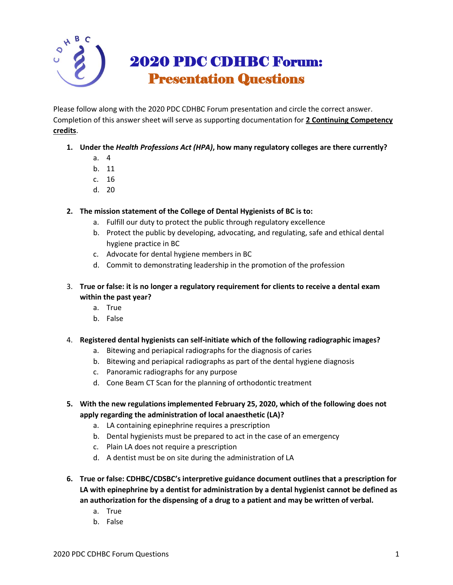

Please follow along with the 2020 PDC CDHBC Forum presentation and circle the correct answer. Completion of this answer sheet will serve as supporting documentation for **2 Continuing Competency credits**.

- **1. Under the** *Health Professions Act (HPA)***, how many regulatory colleges are there currently?**
	- a. 4
	- b. 11
	- c. 16
	- d. 20

## **2. The mission statement of the College of Dental Hygienists of BC is to:**

- a. Fulfill our duty to protect the public through regulatory excellence
- b. Protect the public by developing, advocating, and regulating, safe and ethical dental hygiene practice in BC
- c. Advocate for dental hygiene members in BC
- d. Commit to demonstrating leadership in the promotion of the profession
- 3. **True or false: it is no longer a regulatory requirement for clients to receive a dental exam within the past year?**
	- a. True
	- b. False

## 4. **Registered dental hygienists can self-initiate which of the following radiographic images?**

- a. Bitewing and periapical radiographs for the diagnosis of caries
- b. Bitewing and periapical radiographs as part of the dental hygiene diagnosis
- c. Panoramic radiographs for any purpose
- d. Cone Beam CT Scan for the planning of orthodontic treatment
- **5. With the new regulations implemented February 25, 2020, which of the following does not apply regarding the administration of local anaesthetic (LA)?**
	- a. LA containing epinephrine requires a prescription
	- b. Dental hygienists must be prepared to act in the case of an emergency
	- c. Plain LA does not require a prescription
	- d. A dentist must be on site during the administration of LA
- **6. True or false: CDHBC/CDSBC's interpretive guidance document outlines that a prescription for LA with epinephrine by a dentist for administration by a dental hygienist cannot be defined as an authorization for the dispensing of a drug to a patient and may be written of verbal.**
	- a. True
	- b. False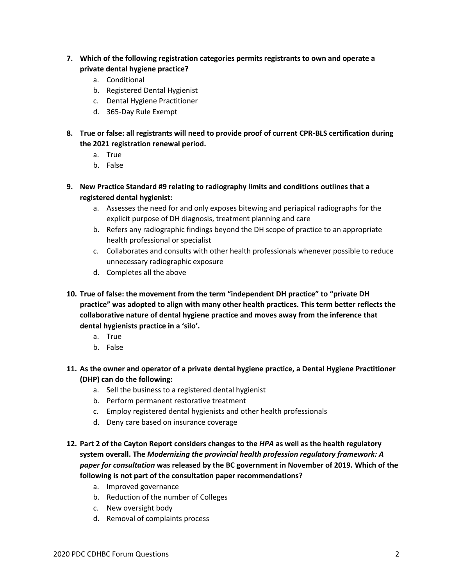- **7. Which of the following registration categories permits registrants to own and operate a private dental hygiene practice?**
	- a. Conditional
	- b. Registered Dental Hygienist
	- c. Dental Hygiene Practitioner
	- d. 365-Day Rule Exempt
- **8. True or false: all registrants will need to provide proof of current CPR-BLS certification during the 2021 registration renewal period.**
	- a. True
	- b. False
- **9. New Practice Standard #9 relating to radiography limits and conditions outlines that a registered dental hygienist:**
	- a. Assesses the need for and only exposes bitewing and periapical radiographs for the explicit purpose of DH diagnosis, treatment planning and care
	- b. Refers any radiographic findings beyond the DH scope of practice to an appropriate health professional or specialist
	- c. Collaborates and consults with other health professionals whenever possible to reduce unnecessary radiographic exposure
	- d. Completes all the above
- **10. True of false: the movement from the term "independent DH practice" to "private DH practice" was adopted to align with many other health practices. This term better reflects the collaborative nature of dental hygiene practice and moves away from the inference that dental hygienists practice in a 'silo'.**
	- a. True
	- b. False
- **11. As the owner and operator of a private dental hygiene practice, a Dental Hygiene Practitioner (DHP) can do the following:**
	- a. Sell the business to a registered dental hygienist
	- b. Perform permanent restorative treatment
	- c. Employ registered dental hygienists and other health professionals
	- d. Deny care based on insurance coverage
- **12. Part 2 of the Cayton Report considers changes to the** *HPA* **as well as the health regulatory system overall. The** *Modernizing the provincial health profession regulatory framework: A paper for consultation* **was released by the BC government in November of 2019. Which of the following is not part of the consultation paper recommendations?**
	- a. Improved governance
	- b. Reduction of the number of Colleges
	- c. New oversight body
	- d. Removal of complaints process